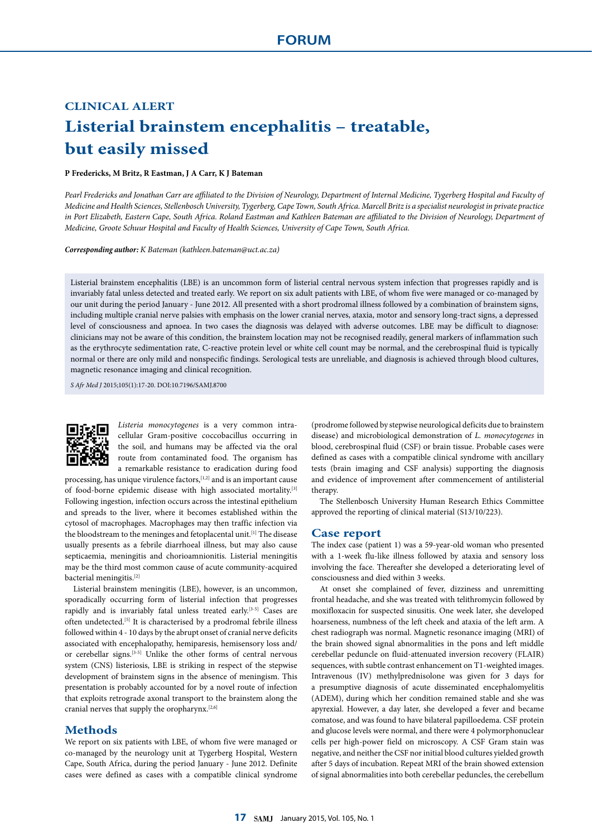# **CLINICAL ALERT Listerial brainstem encephalitis – treatable, but easily missed**

#### **P Fredericks, M Britz, R Eastman, J A Carr, K J Bateman**

Pearl Fredericks and Jonathan Carr are affiliated to the Division of Neurology, Department of Internal Medicine, Tygerberg Hospital and Faculty of *Medicine and Health Sciences, Stellenbosch University, Tygerberg, Cape Town, South Africa. Marcell Britz is a specialist neurologist in private practice in Port Elizabeth, Eastern Cape, South Africa. Roland Eastman and Kathleen Bateman are affiliated to the Division of Neurology, Department of Medicine, Groote Schuur Hospital and Faculty of Health Sciences, University of Cape Town, South Africa.*

*Corresponding author: K Bateman (kathleen.bateman@uct.ac.za)*

Listerial brainstem encephalitis (LBE) is an uncommon form of listerial central nervous system infection that progresses rapidly and is invariably fatal unless detected and treated early. We report on six adult patients with LBE, of whom five were managed or co-managed by our unit during the period January - June 2012. All presented with a short prodromal illness followed by a combination of brainstem signs, including multiple cranial nerve palsies with emphasis on the lower cranial nerves, ataxia, motor and sensory long-tract signs, a depressed level of consciousness and apnoea. In two cases the diagnosis was delayed with adverse outcomes. LBE may be difficult to diagnose: clinicians may not be aware of this condition, the brainstem location may not be recognised readily, general markers of inflammation such as the erythrocyte sedimentation rate, C-reactive protein level or white cell count may be normal, and the cerebrospinal fluid is typically normal or there are only mild and nonspecific findings. Serological tests are unreliable, and diagnosis is achieved through blood cultures, magnetic resonance imaging and clinical recognition.

*S Afr Med J* 2015;105(1):17-20. DOI:10.7196/SAMJ.8700



*Listeria monocytogenes* is a very common intracellular Gram-positive coccobacillus occurring in the soil, and humans may be affected via the oral route from contaminated food. The organism has a remarkable resistance to eradication during food

processing, has unique virulence factors, [1,2] and is an important cause of food-borne epidemic disease with high associated mortality.<sup>[3]</sup> Following ingestion, infection occurs across the intestinal epithelium and spreads to the liver, where it becomes established within the cytosol of macrophages. Macrophages may then traffic infection via the bloodstream to the meninges and fetoplacental unit.<sup>[1]</sup> The disease usually presents as a febrile diarrhoeal illness, but may also cause septicaemia, meningitis and chorioamnionitis. Listerial meningitis may be the third most common cause of acute community-acquired bacterial meningitis.<sup>[2]</sup>

Listerial brainstem meningitis (LBE), however, is an uncommon, sporadically occurring form of listerial infection that progresses rapidly and is invariably fatal unless treated early.[3-5] Cases are often undetected.<sup>[5]</sup> It is characterised by a prodromal febrile illness followed within 4 - 10 days by the abrupt onset of cranial nerve deficits associated with encephalopathy, hemiparesis, hemisensory loss and/ or cerebellar signs.[3-5] Unlike the other forms of central nervous system (CNS) listeriosis, LBE is striking in respect of the stepwise development of brainstem signs in the absence of meningism. This presentation is probably accounted for by a novel route of infection that exploits retrograde axonal transport to the brainstem along the cranial nerves that supply the oropharynx.[2,6]

### **Methods**

We report on six patients with LBE, of whom five were managed or co-managed by the neurology unit at Tygerberg Hospital, Western Cape, South Africa, during the period January - June 2012. Definite cases were defined as cases with a compatible clinical syndrome

(prodrome followed by stepwise neurological deficits due to brainstem disease) and microbiological demonstration of *L. monocytogenes* in blood, cerebrospinal fluid (CSF) or brain tissue. Probable cases were defined as cases with a compatible clinical syndrome with ancillary tests (brain imaging and CSF analysis) supporting the diagnosis and evidence of improvement after commencement of antilisterial therapy.

The Stellenbosch University Human Research Ethics Committee approved the reporting of clinical material (S13/10/223).

#### **Case report**

The index case (patient 1) was a 59-year-old woman who presented with a 1-week flu-like illness followed by ataxia and sensory loss involving the face. Thereafter she developed a deteriorating level of consciousness and died within 3 weeks.

At onset she complained of fever, dizziness and unremitting frontal headache, and she was treated with telithromycin followed by moxifloxacin for suspected sinusitis. One week later, she developed hoarseness, numbness of the left cheek and ataxia of the left arm. A chest radiograph was normal. Magnetic resonance imaging (MRI) of the brain showed signal abnormalities in the pons and left middle cerebellar peduncle on fluid-attenuated inversion recovery (FLAIR) sequences, with subtle contrast enhancement on T1-weighted images. Intravenous (IV) methylprednisolone was given for 3 days for a presumptive diagnosis of acute disseminated encephalomyelitis (ADEM), during which her condition remained stable and she was apyrexial. However, a day later, she developed a fever and became comatose, and was found to have bilateral papilloedema. CSF protein and glucose levels were normal, and there were 4 polymorphonuclear cells per high-power field on microscopy. A CSF Gram stain was negative, and neither the CSF nor initial blood cultures yielded growth after 5 days of incubation. Repeat MRI of the brain showed extension of signal abnormalities into both cerebellar peduncles, the cerebellum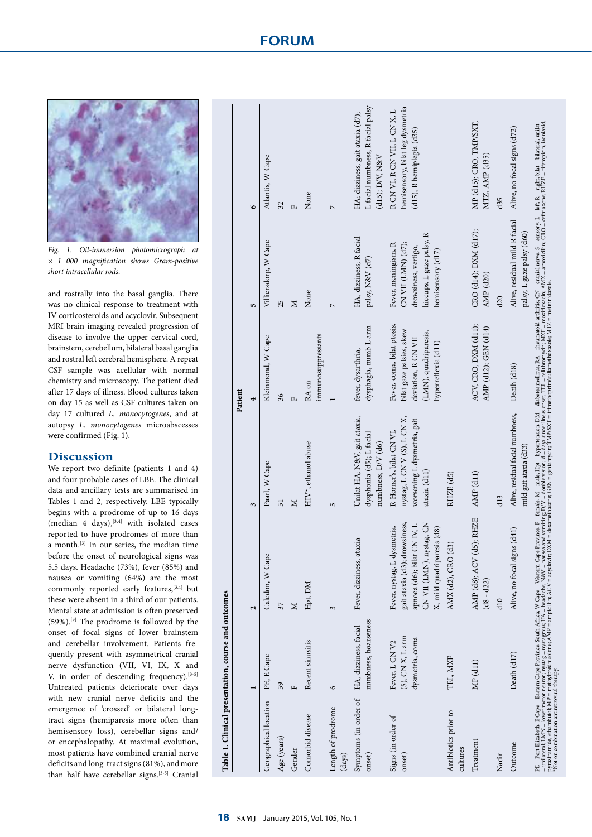

*Fig. 1. Oil-immersion photomicrograph at × 1 000 magnification shows Gram-positive short intracellular rods.*

and rostrally into the basal ganglia. There was no clinical response to treatment with IV corticosteroids and acyclovir. Subsequent MRI brain imaging revealed progression of disease to involve the upper cervical cord, brainstem, cerebellum, bilateral basal ganglia and rostral left cerebral hemisphere. A repeat CSF sample was acellular with normal chemistry and microscopy. The patient died after 17 days of illness. Blood cultures taken on day 15 as well as CSF cultures taken on day 17 cultured *L. monocytogenes*, and at autopsy *L. monocytogenes* microabscesses were confirmed (Fig. 1).

## **Discussion**

We report two definite (patients 1 and 4) and four probable cases of LBE. The clinical data and ancillary tests are summarised in Tables 1 and 2, respectively. LBE typically begins with a prodrome of up to 16 days (median 4 days), $[3,4]$  with isolated cases reported to have prodromes of more than a month.<sup>[3]</sup> In our series, the median time before the onset of neurological signs was 5.5 days. Headache (73%), fever (85%) and nausea or vomiting (64%) are the most commonly reported early features,[3,4] but these were absent in a third of our patients. Mental state at admission is often preserved (59%).[3] The prodrome is followed by the onset of focal signs of lower brainstem and cerebellar involvement. Patients frequently present with asymmetrical cranial nerve dysfunction (VII, VI, IX, X and V, in order of descending frequency).[3 -5] Untreated patients deteriorate over days with new cranial nerve deficits and the emergence of 'crossed' or bilateral long tract signs (hemiparesis more often than hemisensory loss), cerebellar signs and/ or encephalopathy. At maximal evolution, most patients have combined cranial nerve deficits and long -tract signs (81%), and more than half have cerebellar signs.[3 -5] Cranial

|                                                       |                                                                                                                                                                                     |                                                                                                                                                                                                                                |                                                                                                        | Patient                                                                                                                       |                                                                                                                    |                                                                                               |
|-------------------------------------------------------|-------------------------------------------------------------------------------------------------------------------------------------------------------------------------------------|--------------------------------------------------------------------------------------------------------------------------------------------------------------------------------------------------------------------------------|--------------------------------------------------------------------------------------------------------|-------------------------------------------------------------------------------------------------------------------------------|--------------------------------------------------------------------------------------------------------------------|-----------------------------------------------------------------------------------------------|
|                                                       |                                                                                                                                                                                     | $\mathbf{\mathcal{L}}$                                                                                                                                                                                                         | 3                                                                                                      | 4                                                                                                                             | 5                                                                                                                  | $\bullet$                                                                                     |
| Geographical location                                 | PE, E Cape                                                                                                                                                                          | Caledon, W Cape                                                                                                                                                                                                                | Paarl, W Cape                                                                                          | Kleinmond, W Cape                                                                                                             | Villiersdorp, W Cape                                                                                               | Atlantis, W Cape                                                                              |
| Age (years)                                           | 59                                                                                                                                                                                  | 37                                                                                                                                                                                                                             | 51                                                                                                     | 36                                                                                                                            | 25                                                                                                                 | 32                                                                                            |
| Gender                                                | Щ                                                                                                                                                                                   | ×                                                                                                                                                                                                                              | ×                                                                                                      | $\mathbf{L}$                                                                                                                  | Σ                                                                                                                  | Щ                                                                                             |
| Comorbid disease                                      | Recent sinusitis                                                                                                                                                                    | Hpt, DM                                                                                                                                                                                                                        | HIV*, ethanol abuse                                                                                    | immunosuppressants<br>RA on                                                                                                   | None                                                                                                               | None                                                                                          |
| Length of prodrome<br>(days)                          | $\circ$                                                                                                                                                                             | 3                                                                                                                                                                                                                              | 5                                                                                                      |                                                                                                                               | $\overline{a}$                                                                                                     | $\overline{a}$                                                                                |
| Symptoms (in order of HA, dizziness, facial<br>onset) | numbness, hoarseness                                                                                                                                                                | Fever, dizziness, ataxia                                                                                                                                                                                                       | Unilat HA; N&V, gait ataxia,<br>dysphonia (d5); L facial<br>numbness, D/V (d6)                         | dysphagia, numb L arm<br>fever, dysarthria,                                                                                   | HA, dizziness; R facial<br>palsy, N&V (d7)                                                                         | L facial numbness, R facial palsy<br>HA; dizziness, gait ataxia (d7);<br>(d15); D/V, N&V      |
| Signs (in order of<br>onset)                          | $(S)$ , CN $X$ , L arm<br>dysmetria, coma<br>Fever, L CN V2                                                                                                                         | CN VII (LMN), nystag, CN<br>gait ataxia (d3); drowsiness,<br>apnoea (d6); bilat CN IV, L<br>Fever, nystag, L dysmetria,<br>X, mild quadriparesis (d8)                                                                          | nystag, L CN V (S), L CN X,<br>worsening L dysmetria, gait<br>R Horner's, bilat CN VI,<br>ataxia (d11) | Fever, coma, bilat ptosis,<br>bilat gaze palsies, skew<br>(LMN), quadriparesis,<br>deviation, R CN VII<br>hyperreflexia (d11) | hiccups, L gaze palsy, R<br>CN VII (LMN) (d7);<br>Fever, meningism, R<br>drowsiness, vertigo,<br>hemisensory (d17) | hemisensory, bilat leg dysmetria<br>R CN VI, R CN VII, L CN X, L<br>(d15), R hemiplegia (d35) |
| Antibiotics prior to<br>cultures                      | TEL, MXF                                                                                                                                                                            | AMX (d2), CRO (d3)                                                                                                                                                                                                             | RHZE (d5)                                                                                              |                                                                                                                               |                                                                                                                    |                                                                                               |
| Treatment                                             | MP(411)                                                                                                                                                                             | AMP (d8); ACV (d5); RHZE<br>$(d8 - d22)$                                                                                                                                                                                       | AMP (d11)                                                                                              | ACV, CRO, DXM (d11);<br>AMP (d12); GEN (d14)                                                                                  | CRO (d14); DXM (d17);<br>AMP (d20)                                                                                 | MP (d15); CRO, TMP/SXT,<br>MTZ, AMP (d35)                                                     |
| Nadir                                                 |                                                                                                                                                                                     | d10                                                                                                                                                                                                                            | d13                                                                                                    |                                                                                                                               | d20                                                                                                                | d35                                                                                           |
| Outcome                                               | Death (d17)                                                                                                                                                                         | Alive, no focal signs (d41)                                                                                                                                                                                                    | Alive, residual facial numbness,<br>mild gait ataxia (d33)                                             | Death (d18)                                                                                                                   | Alive, residual mild R facial<br>palsy, L gaze palsy (d60)                                                         | Alive, no focal signs (d72)                                                                   |
| Not on combination antiretroviral therapy.            | = unilateral; LMN = lower motor neuron; nystag = nystagmus; HA = headache; N&V = nausea<br>pyrazinamide, ethambutol; MP = methylprednisolone; AMP = ampicillin; ACV = acyclovir; DX | PE = Port Elizabeth; E Cape = Eastern Cape Province, South Africa; W Cape = Western Cape Povince; F = female; M = male; M = male; hy = trypertension; DM = diabetes mellitus; RA = rheumatoid arthritis; CN = cranial nerve; S | KM = dexaméthasone; GEN = gentamycin; TMP/SXT = trimethoprim/sulfamethoxazole; MTZ = metronidazole.    |                                                                                                                               |                                                                                                                    |                                                                                               |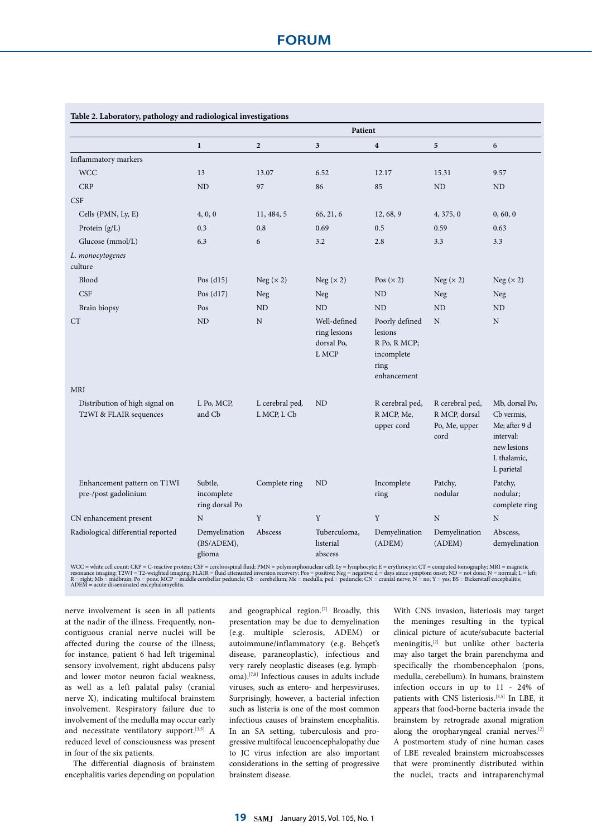|                                                          | Patient                                 |                                |                                                     |                                                                                |                                                           |                                                                                                        |  |
|----------------------------------------------------------|-----------------------------------------|--------------------------------|-----------------------------------------------------|--------------------------------------------------------------------------------|-----------------------------------------------------------|--------------------------------------------------------------------------------------------------------|--|
|                                                          | $\mathbf{1}$                            | $\overline{2}$                 | 3                                                   | $\overline{\mathbf{4}}$                                                        | 5                                                         | 6                                                                                                      |  |
| Inflammatory markers                                     |                                         |                                |                                                     |                                                                                |                                                           |                                                                                                        |  |
| <b>WCC</b>                                               | 13                                      | 13.07                          | 6.52                                                | 12.17                                                                          | 15.31                                                     | 9.57                                                                                                   |  |
| <b>CRP</b>                                               | ND                                      | 97                             | 86                                                  | 85                                                                             | <b>ND</b>                                                 | <b>ND</b>                                                                                              |  |
| <b>CSF</b>                                               |                                         |                                |                                                     |                                                                                |                                                           |                                                                                                        |  |
| Cells (PMN, Ly, E)                                       | 4, 0, 0                                 | 11, 484, 5                     | 66, 21, 6                                           | 12, 68, 9                                                                      | 4, 375, 0                                                 | 0, 60, 0                                                                                               |  |
| Protein $(g/L)$                                          | 0.3                                     | 0.8                            | 0.69                                                | 0.5                                                                            | 0.59                                                      | 0.63                                                                                                   |  |
| Glucose (mmol/L)                                         | 6.3                                     | 6                              | 3.2                                                 | 2.8                                                                            | 3.3                                                       | 3.3                                                                                                    |  |
| L. monocytogenes                                         |                                         |                                |                                                     |                                                                                |                                                           |                                                                                                        |  |
| culture                                                  |                                         |                                |                                                     |                                                                                |                                                           |                                                                                                        |  |
| Blood                                                    | Pos $(d15)$                             | Neg ( $\times$ 2)              | Neg ( $\times$ 2)                                   | Pos $(\times 2)$                                                               | Neg ( $\times$ 2)                                         | Neg (×2)                                                                                               |  |
| <b>CSF</b>                                               | Pos $(d17)$                             | Neg                            | Neg                                                 | ND                                                                             | Neg                                                       | Neg                                                                                                    |  |
| Brain biopsy                                             | Pos                                     | <b>ND</b>                      | <b>ND</b>                                           | ND                                                                             | <b>ND</b>                                                 | <b>ND</b>                                                                                              |  |
| <b>CT</b>                                                | ND                                      | N                              | Well-defined<br>ring lesions<br>dorsal Po,<br>L MCP | Poorly defined<br>lesions<br>R Po, R MCP;<br>incomplete<br>ring<br>enhancement | $\mathbf N$                                               | $\mathbf N$                                                                                            |  |
| <b>MRI</b>                                               |                                         |                                |                                                     |                                                                                |                                                           |                                                                                                        |  |
| Distribution of high signal on<br>T2WI & FLAIR sequences | L Po, MCP,<br>and Cb                    | L cerebral ped,<br>L MCP, L Cb | <b>ND</b>                                           | R cerebral ped,<br>R MCP, Me,<br>upper cord                                    | R cerebral ped,<br>R MCP, dorsal<br>Po, Me, upper<br>cord | Mb, dorsal Po,<br>Cb vermis,<br>Me; after 9 d<br>interval:<br>new lesions<br>L thalamic,<br>L parietal |  |
| Enhancement pattern on T1WI<br>pre-/post gadolinium      | Subtle,<br>incomplete<br>ring dorsal Po | Complete ring                  | <b>ND</b>                                           | Incomplete<br>ring                                                             | Patchy,<br>nodular                                        | Patchy,<br>nodular;<br>complete ring                                                                   |  |
| CN enhancement present                                   | $\mathbf N$                             | Y                              | Y                                                   | Y                                                                              | $\mathbf N$                                               | N                                                                                                      |  |
| Radiological differential reported                       | Demyelination<br>(BS/ADEM),<br>glioma   | Abscess                        | Tuberculoma,<br>listerial<br>abscess                | Demyelination<br>(ADEM)                                                        | Demyelination<br>(ADEM)                                   | Abscess,<br>demyelination                                                                              |  |

WCC = white cell count; CRP = C-reactive protein; CSF = cerebrospinal fluid; PMN = polymorphonuclear cell; Ly = lymphocyte; E = erythrocyte; CT = computed tomography; MRI = magnetic<br>resonance imaging; T2W1 = T2-weighted i

nerve involvement is seen in all patients at the nadir of the illness. Frequently, noncontiguous cranial nerve nuclei will be affected during the course of the illness; for instance, patient 6 had left trigeminal sensory involvement, right abducens palsy and lower motor neuron facial weakness, as well as a left palatal palsy (cranial nerve X), indicating multifocal brainstem involvement. Respiratory failure due to involvement of the medulla may occur early and necessitate ventilatory support.[3,5] A reduced level of consciousness was present in four of the six patients.

The differential diagnosis of brainstem encephalitis varies depending on population and geographical region.[7] Broadly, this presentation may be due to demyelination (e.g. multiple sclerosis, ADEM) or autoimmune/inflammatory (e.g. Behçet's disease, paraneoplastic), infectious and very rarely neoplastic diseases (e.g. lymphoma).[7,8] Infectious causes in adults include viruses, such as entero- and herpesviruses. Surprisingly, however, a bacterial infection such as listeria is one of the most common infectious causes of brainstem encephalitis. In an SA setting, tuberculosis and progressive multifocal leucoencephalopathy due to JC virus infection are also important considerations in the setting of progressive brainstem disease.

With CNS invasion, listeriosis may target the meninges resulting in the typical clinical picture of acute/subacute bacterial meningitis,[2] but unlike other bacteria may also target the brain parenchyma and specifically the rhombencephalon (pons, medulla, cerebellum). In humans, brainstem infection occurs in up to 11 - 24% of patients with CNS listeriosis.[3,5] In LBE, it appears that food-borne bacteria invade the brainstem by retrograde axonal migration along the oropharyngeal cranial nerves.<sup>[2]</sup> A postmortem study of nine human cases of LBE revealed brainstem microabscesses that were prominently distributed within the nuclei, tracts and intraparenchymal